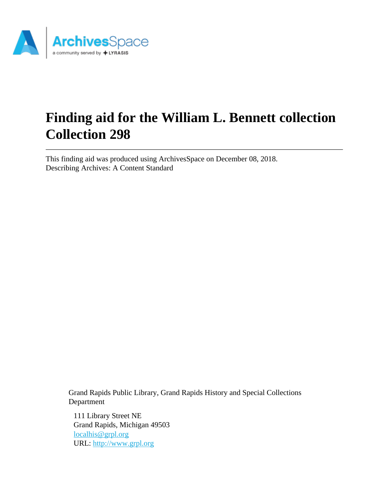

# **Finding aid for the William L. Bennett collection Collection 298**

This finding aid was produced using ArchivesSpace on December 08, 2018. Describing Archives: A Content Standard

Grand Rapids Public Library, Grand Rapids History and Special Collections Department

111 Library Street NE Grand Rapids, Michigan 49503 [localhis@grpl.org](mailto:localhis@grpl.org) URL:<http://www.grpl.org>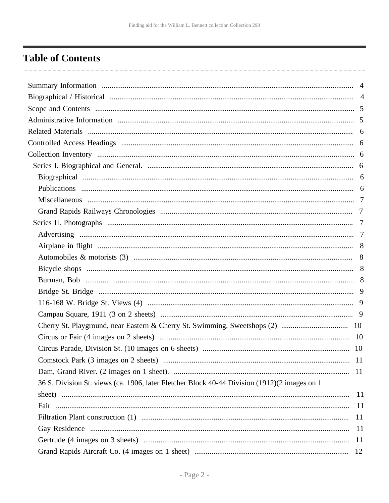## <span id="page-1-0"></span>**Table of Contents**

| 11                                                                                           |               |
|----------------------------------------------------------------------------------------------|---------------|
|                                                                                              |               |
| 36 S. Division St. views (ca. 1906, later Fletcher Block 40-44 Division (1912)(2 images on 1 |               |
|                                                                                              | <sup>11</sup> |
|                                                                                              | <sup>11</sup> |
| 11                                                                                           |               |
|                                                                                              | <sup>11</sup> |
| <sup>11</sup>                                                                                |               |
| 12                                                                                           |               |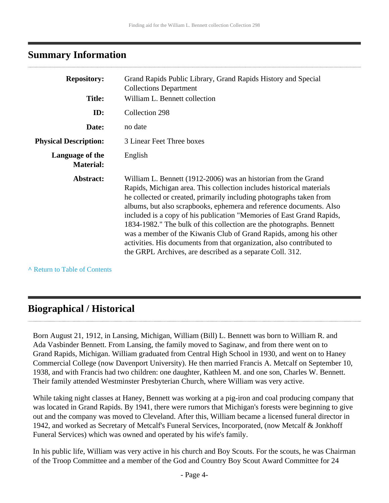## <span id="page-3-0"></span>**Summary Information**

| <b>Repository:</b><br><b>Title:</b> | Grand Rapids Public Library, Grand Rapids History and Special<br><b>Collections Department</b><br>William L. Bennett collection                                                                                                                                                                                                                                                                                                                                                                                                                                                                                                                  |
|-------------------------------------|--------------------------------------------------------------------------------------------------------------------------------------------------------------------------------------------------------------------------------------------------------------------------------------------------------------------------------------------------------------------------------------------------------------------------------------------------------------------------------------------------------------------------------------------------------------------------------------------------------------------------------------------------|
|                                     |                                                                                                                                                                                                                                                                                                                                                                                                                                                                                                                                                                                                                                                  |
| ID:                                 | Collection 298                                                                                                                                                                                                                                                                                                                                                                                                                                                                                                                                                                                                                                   |
| Date:                               | no date                                                                                                                                                                                                                                                                                                                                                                                                                                                                                                                                                                                                                                          |
| <b>Physical Description:</b>        | 3 Linear Feet Three boxes                                                                                                                                                                                                                                                                                                                                                                                                                                                                                                                                                                                                                        |
| Language of the<br><b>Material:</b> | English                                                                                                                                                                                                                                                                                                                                                                                                                                                                                                                                                                                                                                          |
| Abstract:                           | William L. Bennett (1912-2006) was an historian from the Grand<br>Rapids, Michigan area. This collection includes historical materials<br>he collected or created, primarily including photographs taken from<br>albums, but also scrapbooks, ephemera and reference documents. Also<br>included is a copy of his publication "Memories of East Grand Rapids,<br>1834-1982." The bulk of this collection are the photographs. Bennett<br>was a member of the Kiwanis Club of Grand Rapids, among his other<br>activities. His documents from that organization, also contributed to<br>the GRPL Archives, are described as a separate Coll. 312. |

**^** [Return to Table of Contents](#page-1-0)

## <span id="page-3-1"></span>**Biographical / Historical**

Born August 21, 1912, in Lansing, Michigan, William (Bill) L. Bennett was born to William R. and Ada Vasbinder Bennett. From Lansing, the family moved to Saginaw, and from there went on to Grand Rapids, Michigan. William graduated from Central High School in 1930, and went on to Haney Commercial College (now Davenport University). He then married Francis A. Metcalf on September 10, 1938, and with Francis had two children: one daughter, Kathleen M. and one son, Charles W. Bennett. Their family attended Westminster Presbyterian Church, where William was very active.

While taking night classes at Haney, Bennett was working at a pig-iron and coal producing company that was located in Grand Rapids. By 1941, there were rumors that Michigan's forests were beginning to give out and the company was moved to Cleveland. After this, William became a licensed funeral director in 1942, and worked as Secretary of Metcalf's Funeral Services, Incorporated, (now Metcalf & Jonkhoff Funeral Services) which was owned and operated by his wife's family.

In his public life, William was very active in his church and Boy Scouts. For the scouts, he was Chairman of the Troop Committee and a member of the God and Country Boy Scout Award Committee for 24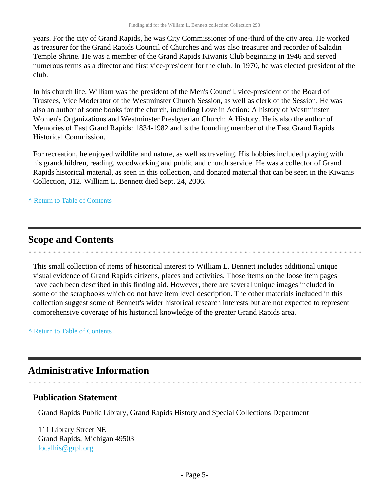years. For the city of Grand Rapids, he was City Commissioner of one-third of the city area. He worked as treasurer for the Grand Rapids Council of Churches and was also treasurer and recorder of Saladin Temple Shrine. He was a member of the Grand Rapids Kiwanis Club beginning in 1946 and served numerous terms as a director and first vice-president for the club. In 1970, he was elected president of the club.

In his church life, William was the president of the Men's Council, vice-president of the Board of Trustees, Vice Moderator of the Westminster Church Session, as well as clerk of the Session. He was also an author of some books for the church, including Love in Action: A history of Westminster Women's Organizations and Westminster Presbyterian Church: A History. He is also the author of Memories of East Grand Rapids: 1834-1982 and is the founding member of the East Grand Rapids Historical Commission.

For recreation, he enjoyed wildlife and nature, as well as traveling. His hobbies included playing with his grandchildren, reading, woodworking and public and church service. He was a collector of Grand Rapids historical material, as seen in this collection, and donated material that can be seen in the Kiwanis Collection, 312. William L. Bennett died Sept. 24, 2006.

### **^** [Return to Table of Contents](#page-1-0)

## <span id="page-4-0"></span>**Scope and Contents**

This small collection of items of historical interest to William L. Bennett includes additional unique visual evidence of Grand Rapids citizens, places and activities. Those items on the loose item pages have each been described in this finding aid. However, there are several unique images included in some of the scrapbooks which do not have item level description. The other materials included in this collection suggest some of Bennett's wider historical research interests but are not expected to represent comprehensive coverage of his historical knowledge of the greater Grand Rapids area.

**^** [Return to Table of Contents](#page-1-0)

## <span id="page-4-1"></span>**Administrative Information**

### **Publication Statement**

Grand Rapids Public Library, Grand Rapids History and Special Collections Department

111 Library Street NE Grand Rapids, Michigan 49503 [localhis@grpl.org](mailto:localhis@grpl.org)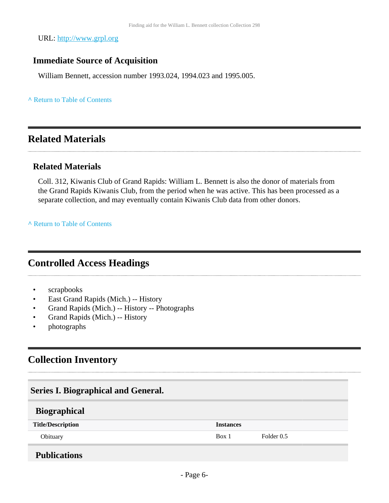URL:<http://www.grpl.org>

### **Immediate Source of Acquisition**

William Bennett, accession number 1993.024, 1994.023 and 1995.005.

### **^** [Return to Table of Contents](#page-1-0)

## <span id="page-5-0"></span>**Related Materials**

### **Related Materials**

Coll. 312, Kiwanis Club of Grand Rapids: William L. Bennett is also the donor of materials from the Grand Rapids Kiwanis Club, from the period when he was active. This has been processed as a separate collection, and may eventually contain Kiwanis Club data from other donors.

**^** [Return to Table of Contents](#page-1-0)

## <span id="page-5-1"></span>**Controlled Access Headings**

- scrapbooks
- East Grand Rapids (Mich.) -- History
- Grand Rapids (Mich.) -- History -- Photographs
- Grand Rapids (Mich.) -- History
- photographs

## <span id="page-5-2"></span>**Collection Inventory**

<span id="page-5-5"></span><span id="page-5-4"></span><span id="page-5-3"></span>

| <b>Series I. Biographical and General.</b> |                  |            |  |  |  |
|--------------------------------------------|------------------|------------|--|--|--|
| <b>Biographical</b>                        |                  |            |  |  |  |
| <b>Title/Description</b>                   | <b>Instances</b> |            |  |  |  |
| Obituary                                   | Box 1            | Folder 0.5 |  |  |  |
| <b>Publications</b>                        |                  |            |  |  |  |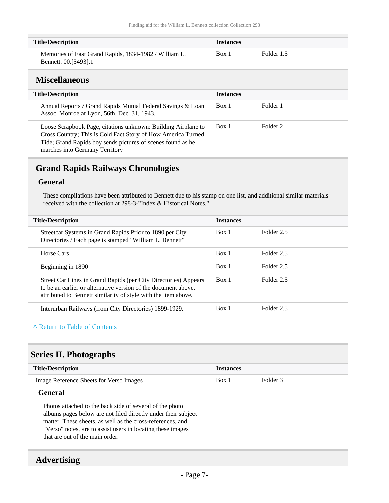| <b>Title/Description</b>                                                      | <b>Instances</b> |            |
|-------------------------------------------------------------------------------|------------------|------------|
| Memories of East Grand Rapids, 1834-1982 / William L.<br>Bennett. 00.[5493].1 | Box 1            | Folder 1.5 |

### <span id="page-6-0"></span>**Miscellaneous**

H

| <b>Title/Description</b>                                                                                                                                                                                                       | <b>Instances</b> |          |
|--------------------------------------------------------------------------------------------------------------------------------------------------------------------------------------------------------------------------------|------------------|----------|
| Annual Reports / Grand Rapids Mutual Federal Savings & Loan<br>Assoc. Monroe at Lyon, 56th, Dec. 31, 1943.                                                                                                                     | Box 1            | Folder 1 |
| Loose Scrapbook Page, citations unknown: Building Airplane to<br>Cross Country; This is Cold Fact Story of How America Turned<br>Tide; Grand Rapids boy sends pictures of scenes found as he<br>marches into Germany Territory | Box 1            | Folder 2 |

## <span id="page-6-1"></span>**Grand Rapids Railways Chronologies**

### **General**

These compilations have been attributed to Bennett due to his stamp on one list, and additional similar materials received with the collection at 298-3-"Index & Historical Notes."

| <b>Title/Description</b>                                                                                                                                                                            | <b>Instances</b> |            |
|-----------------------------------------------------------------------------------------------------------------------------------------------------------------------------------------------------|------------------|------------|
| Streetcar Systems in Grand Rapids Prior to 1890 per City<br>Directories / Each page is stamped "William L. Bennett"                                                                                 | Box 1            | Folder 2.5 |
| Horse Cars                                                                                                                                                                                          | Box 1            | Folder 2.5 |
| Beginning in 1890                                                                                                                                                                                   | Box 1            | Folder 2.5 |
| Street Car Lines in Grand Rapids (per City Directories) Appears<br>to be an earlier or alternative version of the document above,<br>attributed to Bennett similarity of style with the item above. | Box 1            | Folder 2.5 |
| Interurban Railways (from City Directories) 1899-1929.                                                                                                                                              | Box 1            | Folder 2.5 |

### **^** [Return to Table of Contents](#page-1-0)

## <span id="page-6-2"></span>**Series II. Photographs**

| <b>Title/Description</b>                                      | <b>Instances</b> |          |
|---------------------------------------------------------------|------------------|----------|
| Image Reference Sheets for Verso Images                       | Box 1            | Folder 3 |
| <b>General</b>                                                |                  |          |
| Photos attached to the back side of several of the photo      |                  |          |
| albums pages below are not filed directly under their subject |                  |          |
| matter. These sheets, as well as the cross-references, and    |                  |          |
| "Verso" notes, are to assist users in locating these images   |                  |          |
| that are out of the main order.                               |                  |          |

## <span id="page-6-3"></span>**Advertising**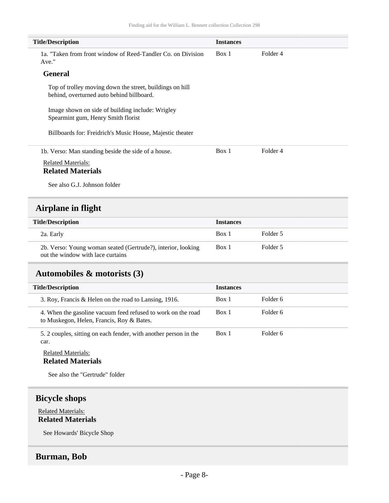| <b>Title/Description</b>                                                                              | <b>Instances</b> |          |
|-------------------------------------------------------------------------------------------------------|------------------|----------|
| 1a. "Taken from front window of Reed-Tandler Co. on Division<br>Ave."                                 | Box 1            | Folder 4 |
| <b>General</b>                                                                                        |                  |          |
| Top of trolley moving down the street, buildings on hill<br>behind, overturned auto behind billboard. |                  |          |
| Image shown on side of building include: Wrigley<br>Spearmint gum, Henry Smith florist                |                  |          |
| Billboards for: Freidrich's Music House, Majestic theater                                             |                  |          |
| 1b. Verso: Man standing beside the side of a house.                                                   | Box 1            | Folder 4 |
| <b>Related Materials:</b>                                                                             |                  |          |
| <b>Related Materials</b>                                                                              |                  |          |
| See also G.J. Johnson folder                                                                          |                  |          |
| Airplane in flight                                                                                    |                  |          |
| <b>Title/Description</b>                                                                              | <b>Instances</b> |          |
| 2a. Early                                                                                             | Box 1            | Folder 5 |

<span id="page-7-0"></span>2b. Verso: Young woman seated (Gertrude?), interior, looking out the window with lace curtains Box 1 Folder 5

## <span id="page-7-1"></span>**Automobiles & motorists (3)**

| <b>Title/Description</b>                                                                                  | <b>Instances</b> |          |
|-----------------------------------------------------------------------------------------------------------|------------------|----------|
| 3. Roy, Francis & Helen on the road to Lansing, 1916.                                                     | Box 1            | Folder 6 |
| 4. When the gasoline vacuum feed refused to work on the road<br>to Muskegon, Helen, Francis, Roy & Bates. | Box 1            | Folder 6 |
| 5. 2 couples, sitting on each fender, with another person in the<br>car.                                  | Box 1            | Folder 6 |

### Related Materials: **Related Materials**

See also the "Gertrude" folder

### <span id="page-7-2"></span>**Bicycle shops**

Related Materials: **Related Materials**

See Howards' Bicycle Shop

### <span id="page-7-3"></span>**Burman, Bob**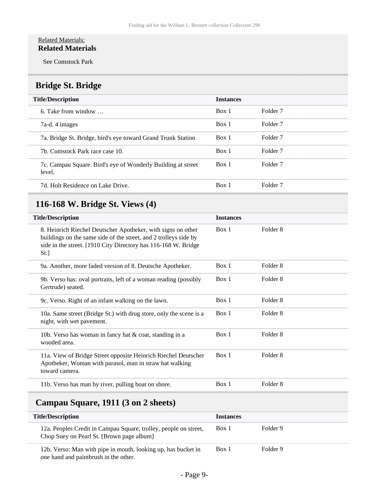### Related Materials: **Related Materials**

See Comstock Park

## <span id="page-8-0"></span>**Bridge St. Bridge**

| <b>Title/Description</b>                                               | <b>Instances</b> |                     |
|------------------------------------------------------------------------|------------------|---------------------|
| 6. Take from window $\ldots$                                           | Box 1            | Folder <sub>7</sub> |
| 7a-d. 4 images                                                         | Box 1            | Folder <sub>7</sub> |
| 7a. Bridge St. Bridge, bird's eye toward Grand Trunk Station           | Box 1            | Folder <sub>7</sub> |
| 7b. Comstock Park race case 10.                                        | Box 1            | Folder <sub>7</sub> |
| 7c. Campau Square. Bird's eye of Wonderly Building at street<br>level. | Box 1            | Folder <sub>7</sub> |
| 7d. Holt Residence on Lake Drive.                                      | Box 1            | Folder <sub>7</sub> |

## <span id="page-8-1"></span>**116-168 W. Bridge St. Views (4)**

| <b>Title/Description</b>                                                                                                                                                                                   | <b>Instances</b> |                     |
|------------------------------------------------------------------------------------------------------------------------------------------------------------------------------------------------------------|------------------|---------------------|
| 8. Heinrich Riechel Deutscher Apotheker, with signs on other<br>buildings on the same side of the street, and 2 trolleys side by<br>side in the street. [1910 City Directory has 116-168 W. Bridge<br>St.] | Box 1            | Folder 8            |
| 9a. Another, more faded version of 8. Deutsche Apotheker.                                                                                                                                                  | Box 1            | Folder 8            |
| 9b. Verso has: oval portraits, left of a woman reading (possibly<br>Gertrude) seated.                                                                                                                      | Box 1            | Folder 8            |
| 9c. Verso. Right of an infant walking on the lawn.                                                                                                                                                         | Box 1            | Folder <sub>8</sub> |
| 10a. Same street (Bridge St.) with drug store, only the scene is a<br>night, with wet pavement.                                                                                                            | Box 1            | Folder 8            |
| 10b. Verso has woman in fancy hat & coat, standing in a<br>wooded area.                                                                                                                                    | Box 1            | Folder 8            |
| 11a. View of Bridge Street opposite Heinrich Riechel Deutscher<br>Apotheker, Woman with parasol, man in straw hat walking<br>toward camera.                                                                | Box 1            | Folder 8            |
| 11b. Verso has man by river, pulling boat on shore.                                                                                                                                                        | Box 1            | Folder 8            |
|                                                                                                                                                                                                            |                  |                     |

## <span id="page-8-2"></span>**Campau Square, 1911 (3 on 2 sheets)**

| <b>Title/Description</b>                                                                                      | <b>Instances</b> |          |
|---------------------------------------------------------------------------------------------------------------|------------------|----------|
| 12a. Peoples Credit in Campau Square, trolley, people on street,<br>Chop Suey on Pearl St. [Brown page album] | Box 1            | Folder 9 |
| 12b. Verso: Man with pipe in mouth, looking up, has bucket in<br>one hand and paintbrush in the other.        | Box 1            | Folder 9 |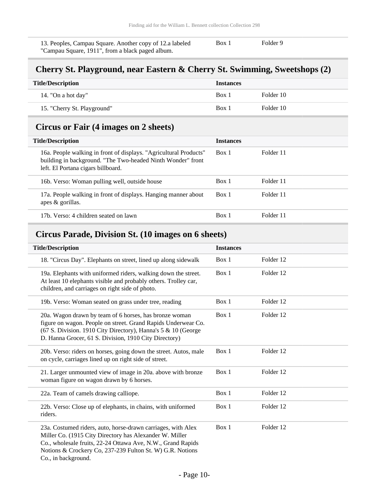13. Peoples, Campau Square. Another copy of 12.a labeled "Campau Square, 1911", from a black paged album. Box 1 Folder 9

### <span id="page-9-0"></span>**Cherry St. Playground, near Eastern & Cherry St. Swimming, Sweetshops (2)**

| <b>Title/Description</b><br><b>Instances</b> |       |           |
|----------------------------------------------|-------|-----------|
| 14. "On a hot day"                           | Box 1 | Folder 10 |
| 15. "Cherry St. Playground"                  | Box 1 | Folder 10 |

## <span id="page-9-1"></span>**Circus or Fair (4 images on 2 sheets)**

| <b>Title/Description</b>                                                                                                                                               | <b>Instances</b> |           |
|------------------------------------------------------------------------------------------------------------------------------------------------------------------------|------------------|-----------|
| 16a. People walking in front of displays. "Agricultural Products"<br>building in background. "The Two-headed Ninth Wonder" front<br>left. El Portana cigars billboard. | Box 1            | Folder 11 |
| 16b. Verso: Woman pulling well, outside house                                                                                                                          | Box 1            | Folder 11 |
| 17a. People walking in front of displays. Hanging manner about<br>apes $\&$ gorillas.                                                                                  | Box 1            | Folder 11 |
| 17b. Verso: 4 children seated on lawn                                                                                                                                  | Box 1            | Folder 11 |

### <span id="page-9-2"></span>**Circus Parade, Division St. (10 images on 6 sheets)**

| <b>Title/Description</b>                                                                                                                                                                                                                                                   | <b>Instances</b> |           |
|----------------------------------------------------------------------------------------------------------------------------------------------------------------------------------------------------------------------------------------------------------------------------|------------------|-----------|
| 18. "Circus Day". Elephants on street, lined up along sidewalk                                                                                                                                                                                                             | Box 1            | Folder 12 |
| 19a. Elephants with uniformed riders, walking down the street.<br>At least 10 elephants visible and probably others. Trolley car,<br>children, and carriages on right side of photo.                                                                                       | Box 1            | Folder 12 |
| 19b. Verso: Woman seated on grass under tree, reading                                                                                                                                                                                                                      | Box 1            | Folder 12 |
| 20a. Wagon drawn by team of 6 horses, has bronze woman<br>figure on wagon. People on street. Grand Rapids Underwear Co.<br>(67 S. Division. 1910 City Directory), Hanna's 5 & 10 (George<br>D. Hanna Grocer, 61 S. Division, 1910 City Directory)                          | Box 1            | Folder 12 |
| 20b. Verso: riders on horses, going down the street. Autos, male<br>on cycle, carriages lined up on right side of street.                                                                                                                                                  | Box 1            | Folder 12 |
| 21. Larger unmounted view of image in 20a. above with bronze<br>woman figure on wagon drawn by 6 horses.                                                                                                                                                                   | Box 1            | Folder 12 |
| 22a. Team of camels drawing calliope.                                                                                                                                                                                                                                      | Box 1            | Folder 12 |
| 22b. Verso: Close up of elephants, in chains, with uniformed<br>riders.                                                                                                                                                                                                    | Box 1            | Folder 12 |
| 23a. Costumed riders, auto, horse-drawn carriages, with Alex<br>Miller Co. (1915 City Directory has Alexander W. Miller<br>Co., wholesale fruits, 22-24 Ottawa Ave, N.W., Grand Rapids<br>Notions & Crockery Co, 237-239 Fulton St. W) G.R. Notions<br>Co., in background. | Box 1            | Folder 12 |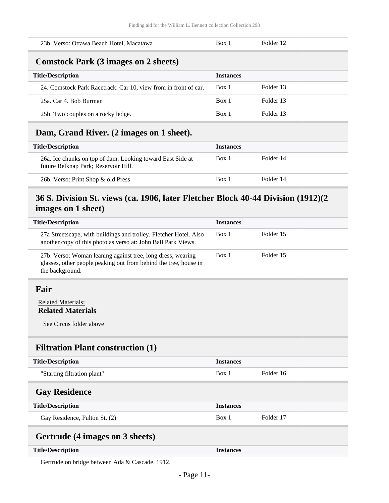<span id="page-10-0"></span>

| 23b. Verso: Ottawa Beach Hotel, Macatawa                                       | Box 1            | Folder 12 |
|--------------------------------------------------------------------------------|------------------|-----------|
| <b>Comstock Park (3 images on 2 sheets)</b>                                    |                  |           |
| <b>Title/Description</b>                                                       | <b>Instances</b> |           |
| 24. Comstock Park Racetrack. Car 10, view from in front of car.                | Box 1            | Folder 13 |
| 25a, Car 4. Bob Burman                                                         | Box 1            | Folder 13 |
| 25b. Two couples on a rocky ledge.                                             | Box 1            | Folder 13 |
| $\sim$<br>י תו<br>$\sim$<br>$\blacksquare$ $\blacksquare$ $\blacksquare$<br>T. |                  |           |

### <span id="page-10-1"></span>**Dam, Grand River. (2 images on 1 sheet).**

| <b>Title/Description</b>                                                                           | <b>Instances</b> |           |
|----------------------------------------------------------------------------------------------------|------------------|-----------|
| 26a. Ice chunks on top of dam. Looking toward East Side at<br>future Belknap Park; Reservoir Hill. | Box 1            | Folder 14 |
| 26b. Verso: Print Shop & old Press                                                                 | Box 1            | Folder 14 |

### <span id="page-10-2"></span>**36 S. Division St. views (ca. 1906, later Fletcher Block 40-44 Division (1912)(2 images on 1 sheet)**

| <b>Title/Description</b>                                                                                                                           | <b>Instances</b> |           |
|----------------------------------------------------------------------------------------------------------------------------------------------------|------------------|-----------|
| 27a Streetscape, with buildings and trolley. Fletcher Hotel. Also<br>another copy of this photo as verso at: John Ball Park Views.                 | Box 1            | Folder 15 |
| 27b. Verso: Woman leaning against tree, long dress, wearing<br>glasses, other people peaking out from behind the tree, house in<br>the background. | Box 1            | Folder 15 |
|                                                                                                                                                    |                  |           |

### <span id="page-10-3"></span>**Fair**

### Related Materials: **Related Materials**

See Circus folder above

## <span id="page-10-4"></span>**Filtration Plant construction (1)**

<span id="page-10-5"></span>

| <b>Title/Description</b>        | <b>Instances</b> |           |
|---------------------------------|------------------|-----------|
| "Starting filtration plant"     | Box 1            | Folder 16 |
| <b>Gay Residence</b>            |                  |           |
| <b>Title/Description</b>        | <b>Instances</b> |           |
| Gay Residence, Fulton St. (2)   | Box 1            | Folder 17 |
| Gertrude (4 images on 3 sheets) |                  |           |

### <span id="page-10-6"></span>**Title/Description Instances**

Gertrude on bridge between Ada & Cascade, 1912.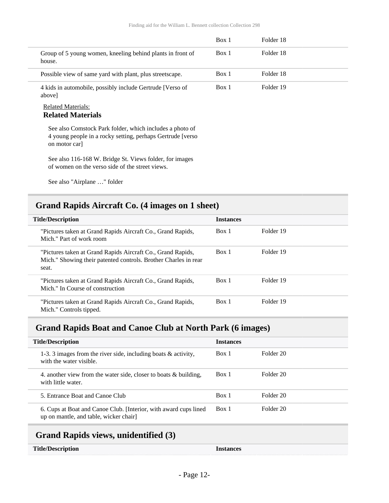|                                                                                                                                         | Box 1 | Folder 18 |  |
|-----------------------------------------------------------------------------------------------------------------------------------------|-------|-----------|--|
| Group of 5 young women, kneeling behind plants in front of<br>house.                                                                    | Box 1 | Folder 18 |  |
| Possible view of same yard with plant, plus streets cape.                                                                               | Box 1 | Folder 18 |  |
| 4 kids in automobile, possibly include Gertrude [Verso of<br>abovel                                                                     | Box 1 | Folder 19 |  |
| <b>Related Materials:</b><br><b>Related Materials</b>                                                                                   |       |           |  |
| See also Comstock Park folder, which includes a photo of<br>4 young people in a rocky setting, perhaps Gertrude [verso]<br>on motor car |       |           |  |
| See also 116-168 W. Bridge St. Views folder, for images<br>of women on the verso side of the street views.                              |       |           |  |

See also "Airplane …" folder

## <span id="page-11-0"></span>**Grand Rapids Aircraft Co. (4 images on 1 sheet)**

| <b>Title/Description</b>                                                                                                                | <b>Instances</b> |           |
|-----------------------------------------------------------------------------------------------------------------------------------------|------------------|-----------|
| "Pictures taken at Grand Rapids Aircraft Co., Grand Rapids,<br>Mich." Part of work room                                                 | Box 1            | Folder 19 |
| "Pictures taken at Grand Rapids Aircraft Co., Grand Rapids,<br>Mich." Showing their patented controls. Brother Charles in rear<br>seat. | Box 1            | Folder 19 |
| "Pictures taken at Grand Rapids Aircraft Co., Grand Rapids,<br>Mich." In Course of construction                                         | Box 1            | Folder 19 |
| "Pictures taken at Grand Rapids Aircraft Co., Grand Rapids,<br>Mich." Controls tipped.                                                  | Box 1            | Folder 19 |

## <span id="page-11-1"></span>**Grand Rapids Boat and Canoe Club at North Park (6 images)**

| <b>Title/Description</b>                                                                                  | <b>Instances</b> |           |
|-----------------------------------------------------------------------------------------------------------|------------------|-----------|
| 1-3. 3 images from the river side, including boats $\&$ activity,<br>with the water visible.              | Box 1            | Folder 20 |
| 4. another view from the water side, closer to boats $\&$ building,<br>with little water.                 | Box 1            | Folder 20 |
| 5. Entrance Boat and Canoe Club                                                                           | Box 1            | Folder 20 |
| 6. Cups at Boat and Canoe Club. [Interior, with award cups lined<br>up on mantle, and table, wicker chair | Box 1            | Folder 20 |

## <span id="page-11-2"></span>**Grand Rapids views, unidentified (3)**

| <b>Title/Description</b> | <b>Instances</b> |
|--------------------------|------------------|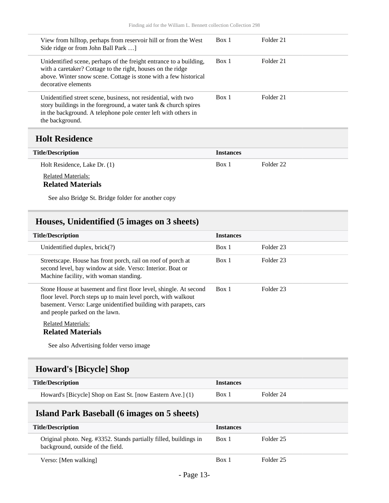| View from hilltop, perhaps from reservoir hill or from the West<br>Side ridge or from John Ball Park                                                                                                                         | Box 1            | Folder 21            |
|------------------------------------------------------------------------------------------------------------------------------------------------------------------------------------------------------------------------------|------------------|----------------------|
| Unidentified scene, perhaps of the freight entrance to a building,<br>with a caretaker? Cottage to the right, houses on the ridge<br>above. Winter snow scene. Cottage is stone with a few historical<br>decorative elements | Box 1            | Folder 21            |
| Unidentified street scene, business, not residential, with two<br>story buildings in the foreground, a water tank & church spires<br>in the background. A telephone pole center left with others in<br>the background.       | Box 1            | Folder 21            |
| <b>Holt Residence</b>                                                                                                                                                                                                        |                  |                      |
| <b>Title/Description</b>                                                                                                                                                                                                     | <b>Instances</b> |                      |
| Holt Residence, Lake Dr. (1)                                                                                                                                                                                                 | Box 1            | Folder <sub>22</sub> |

<span id="page-12-0"></span>Related Materials:

### **Related Materials**

See also Bridge St. Bridge folder for another copy

## <span id="page-12-1"></span>**Houses, Unidentified (5 images on 3 sheets)**

| <b>Title/Description</b>                                                                                                                                                                                                                 | <b>Instances</b> |           |
|------------------------------------------------------------------------------------------------------------------------------------------------------------------------------------------------------------------------------------------|------------------|-----------|
| Unidentified duplex, $brick(?)$                                                                                                                                                                                                          | Box 1            | Folder 23 |
| Streetscape. House has front porch, rail on roof of porch at<br>second level, bay window at side. Verso: Interior. Boat or<br>Machine facility, with woman standing.                                                                     | Box 1            | Folder 23 |
| Stone House at basement and first floor level, shingle. At second<br>floor level. Porch steps up to main level porch, with walkout<br>basement. Verso: Large unidentified building with parapets, cars<br>and people parked on the lawn. | Box 1            | Folder 23 |
| <b>Related Materials:</b><br><b>Related Materials</b><br>See also Advertising folder verso image                                                                                                                                         |                  |           |

## <span id="page-12-2"></span>**Howard's [Bicycle] Shop**

| <b>Title/Description</b>                                   | Instances |           |
|------------------------------------------------------------|-----------|-----------|
| Howard's [Bicycle] Shop on East St. [now Eastern Ave.] (1) | Box 1     | Folder 24 |

## <span id="page-12-3"></span>**Island Park Baseball (6 images on 5 sheets)**

| <b>Title/Description</b>                                                                               | <b>Instances</b> |           |
|--------------------------------------------------------------------------------------------------------|------------------|-----------|
| Original photo. Neg. #3352. Stands partially filled, buildings in<br>background, outside of the field. | Box 1            | Folder 25 |
| Verso: [Men walking]                                                                                   | Box 1            | Folder 25 |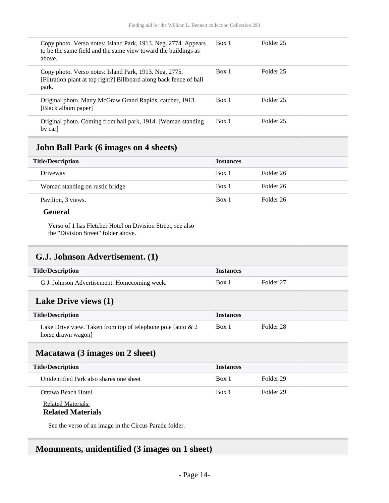| Copy photo. Verso notes: Island Park, 1913. Neg. 2774. Appears<br>to be the same field and the same view toward the buildings as<br>above. | Box 1 | Folder 25            |
|--------------------------------------------------------------------------------------------------------------------------------------------|-------|----------------------|
| Copy photo. Verso notes: Island Park, 1913. Neg. 2775.<br>[Filtration plant at top right?] Billboard along back fence of ball<br>park.     | Box 1 | Folder 25            |
| Original photo. Matty McGraw Grand Rapids, catcher, 1913.<br>[Black album paper]                                                           | Box 1 | Folder 25            |
| Original photo. Coming from ball park, 1914. [Woman standing<br>by carl                                                                    | Box 1 | Folder <sub>25</sub> |

### <span id="page-13-0"></span>**John Ball Park (6 images on 4 sheets)**

| <b>Title/Description</b>        | <b>Instances</b> |           |
|---------------------------------|------------------|-----------|
| Driveway                        | Box 1            | Folder 26 |
| Woman standing on rustic bridge | Box 1            | Folder 26 |
| Pavilion, 3 views.              | Box 1            | Folder 26 |

### **General**

Verso of 1 has Fletcher Hotel on Division Street, see also the "Division Street" folder above.

## <span id="page-13-1"></span>**G.J. Johnson Advertisement. (1)**

| <b>Title/Description</b>                     | <i>Instances</i> |           |
|----------------------------------------------|------------------|-----------|
| G.J. Johnson Advertisement. Homecoming week. | Box 1            | Folder 27 |

### <span id="page-13-2"></span>**Lake Drive views (1)**

| <b>Title/Description</b>                                       | <b>Instances</b> |           |
|----------------------------------------------------------------|------------------|-----------|
| Lake Drive view. Taken from top of telephone pole [auto $\& 2$ | Box 1            | Folder 28 |
| horse drawn wagon]                                             |                  |           |

### <span id="page-13-3"></span>**Macatawa (3 images on 2 sheet)**

| <b>Title/Description</b>                | <b>Instances</b> |           |
|-----------------------------------------|------------------|-----------|
| Unidentified Park also shares one sheet | Box 1            | Folder 29 |
| Ottawa Beach Hotel                      | Box 1            | Folder 29 |
| <b>Related Materials:</b>               |                  |           |

### **Related Materials**

See the verso of an image in the Circus Parade folder.

### <span id="page-13-4"></span>**Monuments, unidentified (3 images on 1 sheet)**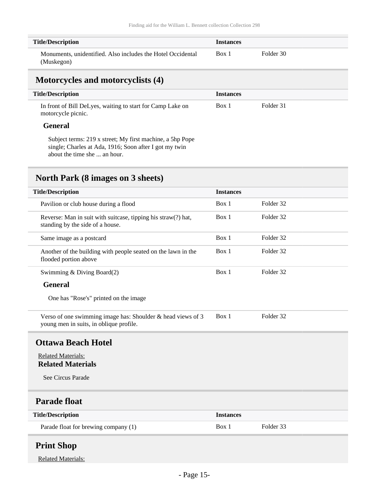| <b>Title/Description</b>                                                  | <b>Instances</b> |           |
|---------------------------------------------------------------------------|------------------|-----------|
| Monuments, unidentified. Also includes the Hotel Occidental<br>(Muskegon) | Box 1            | Folder 30 |

### <span id="page-14-0"></span>**Motorcycles and motorcyclists (4)**

| <b>Title/Description</b>                                                         | <b>Instances</b> |           |
|----------------------------------------------------------------------------------|------------------|-----------|
| In front of Bill DeLyes, waiting to start for Camp Lake on<br>motorcycle picnic. | Box 1            | Folder 31 |

### **General**

H L

> Subject terms: 219 x street; My first machine, a 5hp Pope single; Charles at Ada, 1916; Soon after I got my twin about the time she ... an hour.

## <span id="page-14-1"></span>**North Park (8 images on 3 sheets)**

| <b>Title/Description</b>                                                                               | <b>Instances</b> |           |
|--------------------------------------------------------------------------------------------------------|------------------|-----------|
| Pavilion or club house during a flood                                                                  | Box 1            | Folder 32 |
| Reverse: Man in suit with suitcase, tipping his straw(?) hat,<br>standing by the side of a house.      | Box 1            | Folder 32 |
| Same image as a postcard                                                                               | Box 1            | Folder 32 |
| Another of the building with people seated on the lawn in the<br>flooded portion above                 | Box 1            | Folder 32 |
| Swimming & Diving Board(2)                                                                             | Box 1            | Folder 32 |
| <b>General</b>                                                                                         |                  |           |
| One has "Rose's" printed on the image                                                                  |                  |           |
| Verso of one swimming image has: Shoulder & head views of 3<br>young men in suits, in oblique profile. | Box 1            | Folder 32 |
| <b>Ottawa Beach Hotel</b>                                                                              |                  |           |
| <b>Related Materials:</b><br><b>Related Materials</b>                                                  |                  |           |
| See Circus Parade                                                                                      |                  |           |
| <b>Parade float</b>                                                                                    |                  |           |
| <b>Title/Description</b>                                                                               | <b>Instances</b> |           |
| Parade float for brewing company (1)                                                                   | Box 1            | Folder 33 |

### <span id="page-14-4"></span><span id="page-14-3"></span><span id="page-14-2"></span>**Print Shop**

Related Materials: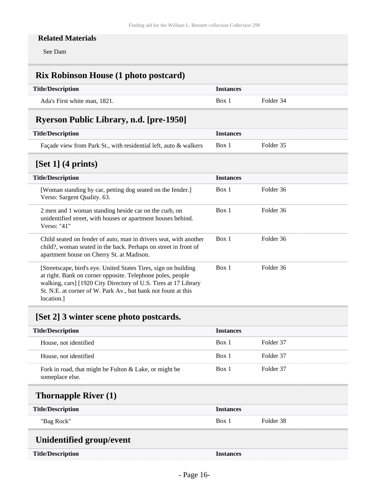### **Related Materials**

See Dam

## <span id="page-15-0"></span>**Rix Robinson House (1 photo postcard)**

| <b>Title/Description</b>     | Instances  |           |
|------------------------------|------------|-----------|
| Ada's First white man. 1821. | <b>Box</b> | Folder 34 |

## <span id="page-15-1"></span>**Ryerson Public Library, n.d. [pre-1950]**

| <b>Title/Description</b>                                         | <b>Instances</b> |           |
|------------------------------------------------------------------|------------------|-----------|
| Façade view from Park St., with residential left, auto & walkers | Box 1            | Folder 35 |
|                                                                  |                  |           |

## <span id="page-15-2"></span>**[Set 1] (4 prints)**

| $L^{\infty}$ $\sim$ $-1$ $($ $ P^{\infty}$ $  \sim$ $\sim$ $/$                                                                                                                                                                                                                 |                    |  |
|--------------------------------------------------------------------------------------------------------------------------------------------------------------------------------------------------------------------------------------------------------------------------------|--------------------|--|
| <b>Title/Description</b>                                                                                                                                                                                                                                                       | <b>Instances</b>   |  |
| [Woman standing by car, petting dog seated on the fender.]<br>Verso: Sargent Quality. 63.                                                                                                                                                                                      | Folder 36<br>Box 1 |  |
| 2 men and 1 woman standing beside car on the curb, on<br>unidentified street, with houses or apartment houses behind.<br>Verso: "41"                                                                                                                                           | Folder 36<br>Box 1 |  |
| Child seated on fender of auto, man in drivers seat, with another<br>child?, woman seated in the back. Perhaps on street in front of<br>apartment house on Cherry St. at Madison.                                                                                              | Folder 36<br>Box 1 |  |
| [Streetscape, bird's eye. United States Tires, sign on building<br>at right. Bank on corner opposite. Telephone poles, people<br>walking, cars] [1920 City Directory of U.S. Tires at 17 Library<br>St. N.E. at corner of W. Park Av., but bank not fount at this<br>location. | Folder 36<br>Box 1 |  |

## <span id="page-15-3"></span>**[Set 2] 3 winter scene photo postcards.**

| <b>Title/Description</b>                                                  | <b>Instances</b> |           |
|---------------------------------------------------------------------------|------------------|-----------|
| House, not identified                                                     | Box 1            | Folder 37 |
| House, not identified                                                     | Box 1            | Folder 37 |
| Fork in road, that might be Fulton & Lake, or might be<br>someplace else. | Box 1            | Folder 37 |

## <span id="page-15-4"></span>**Thornapple River (1)**

| <b>Title/Description</b> | <b>Instances</b> |           |
|--------------------------|------------------|-----------|
| "Bag Rock"               | Box 1            | Folder 38 |

## <span id="page-15-5"></span>**Unidentified group/event**

| <b>Title/Description</b> | <b>Instances</b> |
|--------------------------|------------------|
|--------------------------|------------------|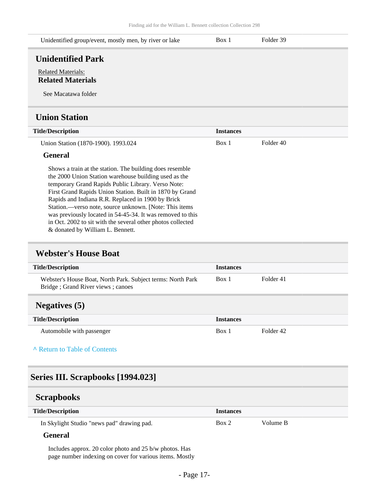<span id="page-16-0"></span>

| Unidentified group/event, mostly men, by river or lake                       | Box 1 | Folder 39 |
|------------------------------------------------------------------------------|-------|-----------|
| <b>Unidentified Park</b>                                                     |       |           |
| <b>Related Materials:</b><br><b>Related Materials</b><br>See Macatawa folder |       |           |
| <b>Union Station</b>                                                         |       |           |

<span id="page-16-1"></span>

| <b>Title/Description</b>                                 | <b>Instances</b> |           |
|----------------------------------------------------------|------------------|-----------|
| Union Station (1870-1900). 1993.024                      | Box 1            | Folder 40 |
| General                                                  |                  |           |
| Shows a train at the station. The building does resemble |                  |           |

the 2000 Union Station warehouse building used as the temporary Grand Rapids Public Library. Verso Note: First Grand Rapids Union Station. Built in 1870 by Grand Rapids and Indiana R.R. Replaced in 1900 by Brick Station.—verso note, source unknown. [Note: This items was previously located in 54-45-34. It was removed to this in Oct. 2002 to sit with the several other photos collected & donated by William L. Bennett.

### <span id="page-16-2"></span>**Webster's House Boat**

<span id="page-16-3"></span>

| <b>Title/Description</b>                                                                         | <b>Instances</b> |           |
|--------------------------------------------------------------------------------------------------|------------------|-----------|
| Webster's House Boat, North Park. Subject terms: North Park<br>Bridge; Grand River views; canoes | Box 1            | Folder 41 |
| <b>Negatives</b> (5)                                                                             |                  |           |
| <b>Title/Description</b>                                                                         | <b>Instances</b> |           |
| Automobile with passenger                                                                        | Box 1            | Folder 42 |

### **^** [Return to Table of Contents](#page-1-0)

### <span id="page-16-4"></span>**Series III. Scrapbooks [1994.023]**

<span id="page-16-5"></span>

| <b>Scrapbooks</b>                                      |       |          |
|--------------------------------------------------------|-------|----------|
| <b>Title/Description</b><br><b>Instances</b>           |       |          |
| In Skylight Studio "news pad" drawing pad.             | Box 2 | Volume B |
| <b>General</b>                                         |       |          |
| Includes approx. 20 color photo and 25 b/w photos. Has |       |          |

page number indexing on cover for various items. Mostly